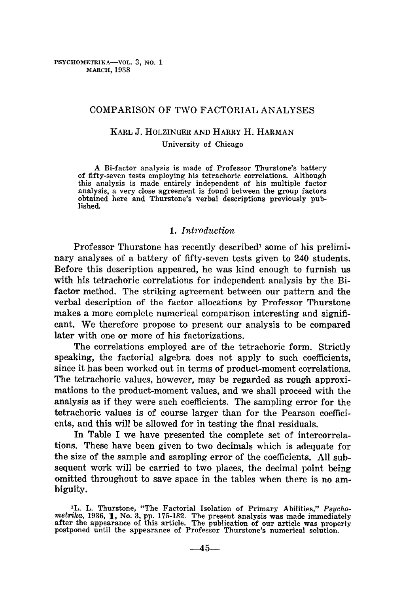# COMPARISON OF TWO FACTORIAL ANALYSES

# KARL J. HOLZINGER AND HARRY H. HARMAN

#### University of Chicago

A Bi-factor analysis is made of Professor Thurstone's battery of fifty-seven tests employing his tetrachoric correlations. Although this analysis is made entirely independent of his multiple factor analysis, a very close agreement is found between the group factors obtained here and Thurstone's verbal descriptions previously published.

# *1. Introduction*

Professor Thurstone has recently described<sup>1</sup> some of his preliminary analyses of a battery of fifty-seven tests given to 240 students. Before this description appeared, he was kind enough to furnish us with his tetrachoric correlations for independent analysis by the Bifactor method. The striking agreement between our pattern and the verbal description of the factor allocations by Professor Thurstone makes a more complete numerical comparison interesting and significant. We therefore propose to present our analysis to be compared later with one or more of his factorizations.

The correlations employed are of the tetrachoric form. Strictly speaking, the factorial algebra does not apply to such coefficients, since it has been worked out in terms of product-moment correlations. The tetrachoric values, however, may be regarded as rough approximations to the product-moment values, and we shall proceed with the analysis as if they were such coefficients. The sampling error for the tetrachoric values is of course larger than for the Pearson coefficients, and this will be allowed for in testing the final residuals.

In Table I we have presented the complete set of intercorrelations. These have been given to two decimals which is adequate for the size of the sample and sampling error of the coefficients. All subsequent work will be carried to two places, the decimal point being omitted throughout to save space in the tables when there is no ambiguity.

<sup>1</sup>L. L. Thurstone, "The Factorial Isolation of Primary Abilities," *Psycho*metrika, 1936, 1, No. 3, pp. 175-182. The present analysis was made immediately after the appearance of this article. The publication of our article was properly postponed until the appearance of Professor Thurstone's nume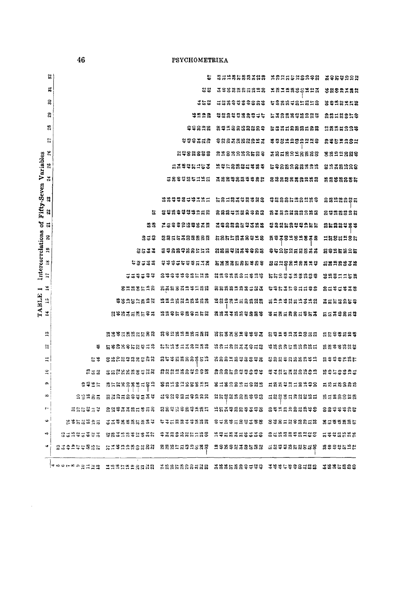|                                     | 잃.                                  |                             | 툽                          | 22222223             | ARNASNSAQR XQRNASN |                        |
|-------------------------------------|-------------------------------------|-----------------------------|----------------------------|----------------------|--------------------|------------------------|
|                                     | 昜                                   |                             | 82                         | 3333335328           | 18318855123        | 5888788                |
|                                     | S,                                  |                             | 352                        | ,,,,,,,,,,,          | 5888485858         | 8828258                |
|                                     | 29                                  |                             | <b>****</b>                | 역ີ 영웅 역 명 명 8 역 디 낙  | LX88898289         | 8818819                |
|                                     | 28                                  |                             |                            | 8322883889           | 6535883588         | <u> 일</u> 8일H음음용       |
|                                     | 27                                  |                             | ######                     | **********           | **********         | <b>R#5P38#</b>         |
| $\tilde{\mathbf{z}}$                |                                     |                             | 2482833                    | 8988999889           | **********         | 3822889                |
| Variables                           | 25                                  |                             | 53445153                   | 19258885453          | 6988288999         | 8938928                |
|                                     | $\boldsymbol{z}$                    |                             | 급응육형집투ゴ음류                  | 388388338            | 8888888988         |                        |
| Fifty-Seven                         |                                     |                             |                            |                      |                    |                        |
|                                     | X.                                  |                             | 1889985\$\$7\$¤            | 5818348488           |                    | <b>2858885</b>         |
| 22                                  |                                     | s                           | . 2 2 3 3 3 3 3 3 5 5 8    |                      | 8382289428         | ន្តមុននូខ១ន            |
| ៵<br>큷                              |                                     | 23                          | N 3 3 3 2 3 3 3 3 3 3      | 3988853388           |                    | 858845\$               |
| S                                   |                                     | 232                         | 235532888                  | <b>ងនងដូងនឹនទី១៩</b> | 8833999938         | <b>H&amp;8HA8&amp;</b> |
| $\mathbf{a}$                        |                                     | 3533                        | 8388388111                 | . 88898339988        | .                  | ន្លន្ទន្ទន្ទន          |
| Intercorrelations<br>$\frac{8}{16}$ |                                     | 53522                       | <b>``\$\$\$</b> \$\$\$XX   | .                    | 5528828893         | <b>ដនកឧខ</b> 3ន        |
| 17                                  |                                     | 55\$54\$                    | 8999998588                 | 8898881889           | *********          | 828558                 |
| $\ddot{a}$                          |                                     | 8988538                     | <u>និងឧន្តរដ្ឋ និង និង</u> | 8588288583           | 5353535398         | 85%5%38                |
| TABLE<br>$\mathbf{r}$               |                                     | #8252812                    | 5328838588                 | 1828158828           | 5224855388         | *******                |
| $\mathbf{I}$                        |                                     | 283352585                   | 11285888588                | 8833883889           | \$885885\$53       | <b>5534853</b>         |
|                                     |                                     |                             |                            |                      |                    |                        |
| $\ddot{ }$                          |                                     | <b>SS\$JSSJ533</b>          | 8928228588                 | <b>NGSX8238833</b>   | 6929332855         | 지휘증휴식음유                |
| 웤                                   | 粤                                   | 5484452458                  | 6659558288                 | asaasaacas           | 4888588885         | 53\$\$\$\$8            |
| ≒                                   | 57                                  | 8828988388                  | 85\$8888555                |                      | នីនីនីទីដូនីនីនីនី | 83442KK                |
| $\tilde{=}$                         | 2 ಕೆ.ಡಿ                             | ន្ទ្រដូន្ទ្រន្ទ្ទ្ទ្ទ្ទ្ទ្រ | 83895829999                |                      | 3385838839         | a a sa sa a s          |
| ô                                   | 9925                                | <b>85539299559</b>          | 8528288885                 | 8189895989           | 5889918498         | ត្តិនិនីនិនី           |
| $\infty$                            | 93985                               | 8325899539                  | 5989859999                 | 2532588\$38          | 高888G지역889G        | 8528888                |
| t-                                  | <b>ដន្ននិ</b> នទ                    | 23773335953                 | 8893989885                 | 11539859398          | 8925285898         | 2299985                |
| ھ                                   | 12852535                            | <b>BREEZEBB3</b>            | 5368839288                 | **********           | 8885398858         | <b>SHOOGBS5</b>        |
| ۱Q                                  | 83585333                            | 88358\$2\$3\$               | *********                  | 9358558556           |                    | ដូនន័ន្ទដូន            |
| $\blacktriangleright$               | 232245855                           | 53483383888 8885558888      |                            | 20080033853          | <b>L23988585LB</b> | 2888228                |
|                                     | $ a \otimes a \otimes a \otimes a $ | 1995993538                  | <b>ិនិនិនិនិនិនិនិនិ</b>   | **********           | 3444446588         | <b>SSS</b> 5888        |

 $46\,$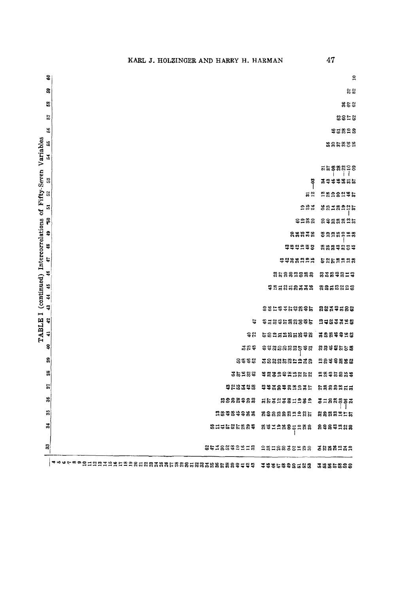| 3  |                                                  |                               | $\approx$           |
|----|--------------------------------------------------|-------------------------------|---------------------|
| g  |                                                  |                               | 52                  |
| 3  |                                                  |                               | $z \approx$         |
| 57 |                                                  |                               | 2252                |
| 56 |                                                  |                               | *****               |
| 18 |                                                  |                               | 1885858             |
| 54 |                                                  |                               |                     |
|    |                                                  |                               | ត្តនន្តន្តខ្លួន<br> |
| S  |                                                  | ဒို                           | 3988856             |
| S  |                                                  | $\overline{a}$ $\overline{c}$ | <b>ASASASL</b>      |
| 5  |                                                  | 283                           | <b>sazaaaja</b>     |
| F  |                                                  | <b>ິສລະລ</b>                  | 8988825             |
| ş  |                                                  | 23233                         | 8988298             |
| 48 |                                                  | ******                        | <b>ARSSESS</b>      |
| 47 |                                                  | <b>\$\$\$\$PP\$</b>           | 5252228             |
| 46 |                                                  | និដ្ឋនិងដ៏និងន                | <b>8384814</b>      |
| 46 |                                                  | ទុក្ខនុងនឹងទង                 | 8858828             |
| 44 |                                                  |                               |                     |
| Ş  |                                                  | 282233282                     | 8839588             |
| 42 | u                                                | <b>**********</b>             | 2333328             |
| 4  | ទ្ធ                                              | 6825285898                    | , 3884448           |
| Ş  | 328                                              | **********                    | 8848558             |
| 2  | 2346                                             | #8825#####                    | 8844888             |
| 33 | 35589                                            | \$832\$¤¤¤&&                  | 2835589             |
| 遠  | <b>******</b>                                    | **********                    | 5888255             |
| SG | 8888988                                          | #&3238H288                    | <b>SHASSSS</b>      |
| S, | 28989988                                         | 8888882285                    | <b>8888255</b>      |
| 3  | 18 11 11 16 13 16 18 18 19                       | 8932885288                    | 8889988             |
| B  | 8478842118                                       | <b>QEIRESSESS</b>             | 3888939             |
|    | <b>ォト67890ⅡⅡ요以以比比正的的处处的类型类类的类型的处理的类型的类似的的有权格</b> | 3885888588                    | 3855838             |

 $47$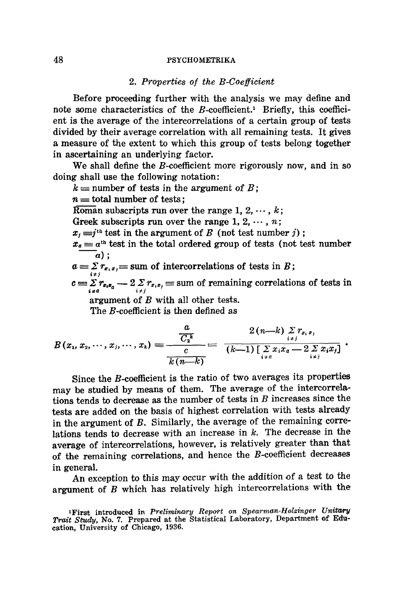#### *2. Properties of the B-Coefficient*

Before proceeding further with the analysis we may define and note some characteristics of the  $B$ -coefficient.<sup>1</sup> Briefly, this coefficient is the average of the intercorrelations of a certain group of tests divided by their average correlation with all remaining tests. It gives a measure of the extent to which this group of tests belong together in ascertaining an underlying factor.

We shall define the *B*-coefficient more rigorously now, and in so doing shall use the following notation:

 $k =$  number of tests in the argument of B;

 $n \equiv$  total number of tests;

Roman subscripts run over the range 1, 2,  $\cdots$ , k;

Greek subscripts run over the range 1, 2,  $\cdots$ , n;

 $x_j = j^{th}$  test in the argument of B (not test number j);

 $x_a \equiv a^{\text{th}}$  test in the total ordered group of tests (not test number  $\bar{a}$ ) ;

 $a = \sum r_{e_i, e_j}$  sum of intercorrelations of tests in B;

 $c = \sum_{i \neq a} r_{e_i e_a} - 2 \sum_{i \neq j} r_{e_i e_j}$  = sum of remaining correlations of tests in

argument of B with all other tests.

The B-coefficient is then defined as

$$
B(x_1, x_2, \cdots, x_j, \cdots, x_k) = \frac{\frac{a}{C_2^k}}{\frac{c}{k(n-k)}} = \frac{2(n-k) \sum_{i \neq j} r_{x_i x_j}}{(k-1) \left[\sum_{i \neq a} x_i x_a - 2 \sum_{i \neq j} x_i x_j\right]}.
$$

Since the B-coefficient is the ratio of two averages its properties may be studied by means of them. The average of the intercorrelations tends to decrease as the number of tests in  $B$  increases since the tests are added on the basis of highest correlation with tests already in the argument of B. Similarly, the average of the remaining correlations tends to decrease with an increase in  $k$ . The decrease in the average of intercorrelations, however, is relatively greater than that of the remaining correlations, and hence the  $B$ -coefficient decreases in general.

An exception to this may occur with the addition of a test to the argument of  $B$  which has relatively high intercorrelations with the

<sup>&</sup>lt;sup>1</sup>First introduced in *Preliminary Report on Spearman-Holzinger Unitary Trait Study,* No. 7. Prepared at the Statistical Laboratory, Department of Education, University of Chicago, 1936.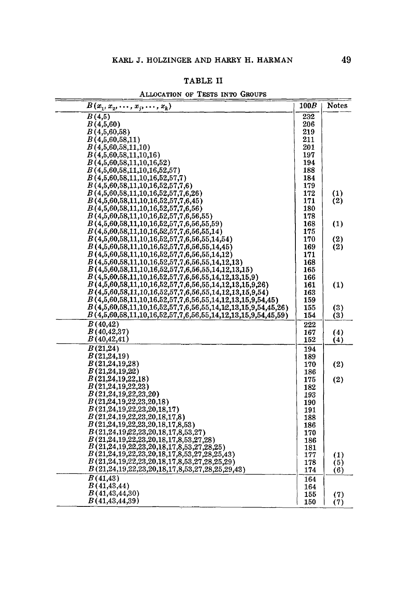## TABLE II

| ALLOCATION OF TESTS INTO GROUPS |  |  |  |  |  |  |
|---------------------------------|--|--|--|--|--|--|
|---------------------------------|--|--|--|--|--|--|

| $B(x_1, x_2, \ldots, x_j, \ldots, x_k)$                        | 100B | <b>Notes</b>     |
|----------------------------------------------------------------|------|------------------|
| B(4,5)                                                         | 232  |                  |
| B(4,5,60)                                                      | 206  |                  |
| B(4,5,60,58)                                                   | 219  |                  |
| B(4,5,60,58,11)                                                | 211  |                  |
| B(4,5,60,58,11,10)                                             | 201  |                  |
| B(4,5,60,58,11,10,16)                                          | 197  |                  |
| B(4,5,60,58,11,10,16,52)                                       | 194  |                  |
| B(4,5,60,58,11,10,16,52,57)                                    | 188  |                  |
| B(4,5,60,58,11,10,16,52,57,7)                                  | 184  |                  |
| B(4,5,60,58,11,10,16,52,57,7,6)                                | 179  |                  |
| B(4,5,60,58,11,10,16,52,57,7,6,26)                             | 172  | (1)              |
| B(4,5,60,58,11,10,16,52,57,7,6,45)                             | 171  | (2)              |
| B(4,5,60,58,11,10,16,52,57,7,6,56)                             | 180  |                  |
| B(4,5,60,58,11,10,16,52,57,7,6,56,55)                          | 178  |                  |
| $B(4,5,60,58,11,10,16,52,57,7,6,56,55,59)$                     | 168  | (1)              |
| $B(4,5,60,58,11,10,16,52,57,7,6,56,55,14)$                     | 175  |                  |
| $B(4,5,60,58,11,10,16,52,57,7,6,56,55,14,54)$                  | 170  | (2)              |
| $B(4,5,60,58,11,10,16,52,57,7,6,56,55,14,45)$                  | 169  | (2)              |
| $B(4,5,60,58,11,10,16,52,57,7,6,56,55,14,12)$                  | 171  |                  |
| $B(4,5,60,58,11,10,16,52,57,7,6,56,55,14,12,13)$               | 168  |                  |
| B(4,5,60,58,11,10,16,52,57,7,6,56,55,14,12,13,15)              | 165  |                  |
| $B(4,5,60,58,11,10,16,52,57,7,6,56,55,14,12,13,15,9)$          | 166  |                  |
| $B(4,5,60,58,11,10,16,52,57,7,6,56,55,14,12,13,15,9,26)$       | 161  | (1)              |
| $B(4,5,60,58,11,10,16,52,57,7,6,56,55,14,12,13,15,9,54)$       | 163  |                  |
| $B(4,5,60,58,11,10,16,52,57,7,6,56,55,14,12,13,15,9,54,45)$    | 159  |                  |
| $B(4,5,60,58,11,10,16,52,57,7,6,56,55,14,12,13,15,9,54,45,26)$ | 155  | (3)              |
| $B(4,5,60,58,11,10,16,52,57,7,6,56,55,14,12,13,15,9,54,45,59)$ | 154  | (3)              |
| B(40, 42)                                                      | 222  |                  |
| B(40, 42, 37)                                                  | 167  | (4)              |
| B(40, 42, 41)                                                  | 152  | (4)              |
| $\overline{B(21,24)}$                                          | 194  |                  |
| B(21,24,19)                                                    | 189  |                  |
| B(21,24,19,28)                                                 | 170  | (2)              |
| B(21,24,19,22)                                                 | 186  |                  |
| B(21,24,19,22,18)                                              | 175  | (2)              |
| B(21,24,19,22,23)                                              | 182  |                  |
| B(21,24,19,22,23,20)                                           | 193  |                  |
| B(21,24,19,22,23,20,18)                                        | 190  |                  |
| B(21,24,19,22,23,20,18,17)                                     | 191  |                  |
| B(21,24,19,22,23,20,18,17,8)                                   | 188  |                  |
| B(21,24,19,22,23,20,18,17,8,53)                                | 186  |                  |
| B(21,24,19,22,23,20,18,17,8,53,27)                             | 170  |                  |
| B(21,24,19,22,23,20,18,17,8,53,27,28)                          | 186  |                  |
| $B(21,24,19,22,23,20,18,17,8,53,27,28,25)$                     | 181  |                  |
| B(21,24,19,22,23,20,18,17,8,53,27,28,25,43)                    | 177  | $\left(1\right)$ |
| $B(21,24,19,22,23,20,18,17,8,53,27,28,25,29)$                  | 178  | (5)              |
| B(21,24,19,22,23,20,18,17,8,53,27,28,25,29,43)                 | 174  | (6)              |
| $\overline{B(41,43)}$                                          | 164  |                  |
| B(41, 43, 44)                                                  | 164  |                  |
| B(41, 43, 44, 30)                                              | 155  | (7)              |
| B(41, 43, 44, 39)                                              | 150  | (7)              |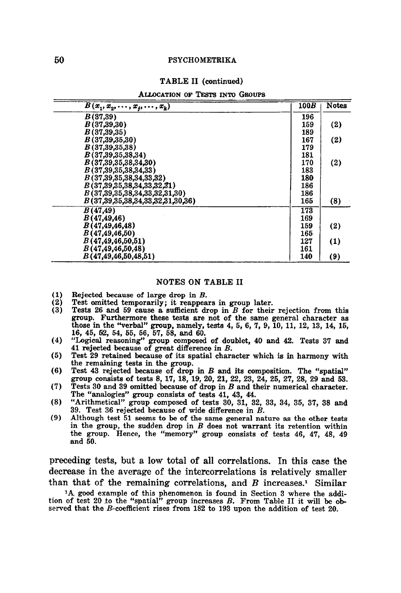#### TABLE II (continued)

ALLOCATION OF TESTS INTO GROUPS

| $B(x_1, x_2, \ldots, x_j, \ldots, x_k)$ | 100B | <b>Notes</b> |
|-----------------------------------------|------|--------------|
| B(37,39)                                | 196  |              |
| B(37,39,30)                             | 159  | (2)          |
| B(37, 39, 35)                           | 189  |              |
| B(37, 39, 35, 30)                       | 167  | (2)          |
| B(37, 39, 35, 38)                       | 179  |              |
| B(37,39,35,38,34)                       | 181  |              |
| B(37,39,35,38,34,30)                    | 170  | (2)          |
| B(37,39,35,38,34,33)                    | 183  |              |
| B(37,39,35,38,34,33,32)                 | 180  |              |
| B(37,39,35,38,34,33,32,31)              | 186  |              |
| B(37,39,35,38,34,33,32,31,30)           | 186  |              |
| B(37,39,35,38,34,33,32,31,30,36)        | 165  | (8)          |
| <i>B</i> (47,49)                        | 173  |              |
| B(47, 49, 46)                           | 169  |              |
| B(47, 49, 46, 48)                       | 159  | (2)          |
| B(47, 49, 46, 50)                       | 165  |              |
| B(47, 49, 46, 50, 51)                   | 127  | (1)          |
| B(47, 49, 46, 50, 48)                   | 161  |              |
| B(47, 49, 46, 50, 48, 51)               | 140  | (9)          |

#### NOTES ON TABLE II

- (1) Rejected because of large drop in  $B$ .<br>(2) Test omitted temporarily; it reappea
- (2) Test omitted temporarily; it reappears in group later.<br>(3) Tests 26 and 59 cause a sufficient drop in  $B$  for their
- Tests 26 and 59 cause a sufficient drop in  $B$  for their rejection from this group. Furthermore these tests are not of the same general character as those in the "verbal" group, namely, tests 4, 5, 6, 7, 9, 10, 11, 12, 13, 14, 15, 16, 45, 52, 54, 55, 56, 57, 58, and 60.
- (4) "Logical reasoning" group composed of doublet, 40 and 42. Tests 37 and 41 rejected because of great difference in B.
- (5) Test 29 retained because of its spatial character which is in harmony with the remaining tests in the group.
- (6) Test 43 rejected because of drop in  $B$  and its composition. The "spatial" group consists of tests 8, 17, 18, 19, 20, 21, 22, 23, 24, 25, 27, 28, 29 and 53.
- (7) Tests 30 and 39 omitted because of drop in B and their numerical character. The "analogies" group consists of tests 41, 43, 44.
- (8) "Arithmetical" group composed of tests 30, 31, 32, 33, 34, 35, 37, 38 and 39. Test 36 rejected because of wide difference in B.
- (9) Although test 51 seems to be of the same general nature as the other tests in the group, the sudden drop in  $B$  does not warrant its retention within the group. Hence, the "memory" group consists of tests 46, 47, 48, 49 and 50.

preceding tests, but a low total of all correlations. In this case the decrease in the average of the intercorrelations is relatively smaller than that of the remaining correlations, and  $B$  increases.<sup>1</sup> Similar

1A, good example of this phenomenon is found in Section 8 where the addition of test 20 to the "spatial" group increases B. From Table II it will be observed that the B-coefficient rises from 182 to 193 upon the addition of test 20.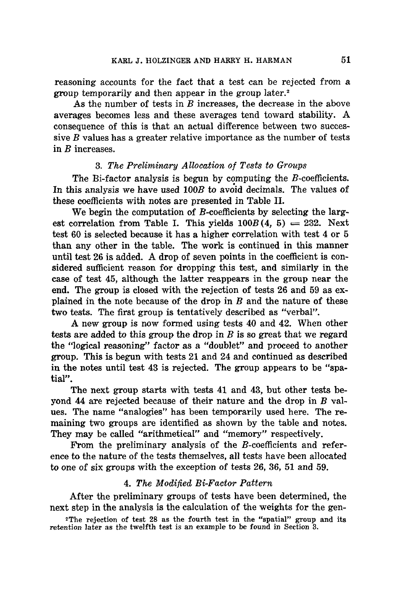reasoning accounts for the fact that a test can be rejected from a group temporarily and then appear in the group later.<sup>2</sup>

As the number of tests in  $B$  increases, the decrease in the above averages becomes less and these averages tend toward stability. A consequence of this is that an actual difference between two successive  $B$  values has a greater relative importance as the number of tests in B increases.

# *3. The Preliminary Allocation of Tests to Groups*

The Bi-factor analysis is begun by computing the B-coefficients. In this analysis we have used 100B to avoid decimals. The values of these coefficients with notes are presented in Table II.

We begin the computation of B-coefficients by selecting the largest correlation from Table I. This yields  $100B(4, 5) = 232$ . Next test 60 is selected because it has a higher correlation with test 4 or 5 than any other in the table. The work is continued in this manner until test 26 is added. A drop of seven points in the coefficient is considered sufficient reason for dropping this test, and similarly in the case of test 45, although the latter reappears in the group near the end. The group is closed with the rejection of tests 26 and 59 as explained in the note because of the drop in  $B$  and the nature of these two tests. The first group is tentatively described as "verbal".

A new group is now formed using tests 40 and 42. When other tests are added to this group the drop in  $B$  is so great that we regard the "logical reasoning" factor as a "doublet" and proceed to another group. This is begun with tests 21 and 24 and continued as described in the notes until test 43 is rejected. The group appears to be "spatial".

The next group starts with tests 41 and 43, but other tests beyond 44 are rejected because of their nature and the drop in  $B$  values. The name "analogies" has been temporarily used here. The remaining two groups are identified as shown by the table and notes. They may be called "arithmetical" and "memory" respectively.

From the preliminary analysis of the B-coefficients and reference to the nature of the tests themselves, all tests have been allocated to one of six groups with the exception of tests 26, 36, 51 and 59.

# *4. The Modified Bi-Facto~ Pattern*

After the preliminary groups of tests have been determined, the next step in the analysis is the calculation of the weights for the gen-

2The rejection of test 28 as the fourth test in the "spatial" group and its retention later as the twelfth test is an example to be found in Section 3.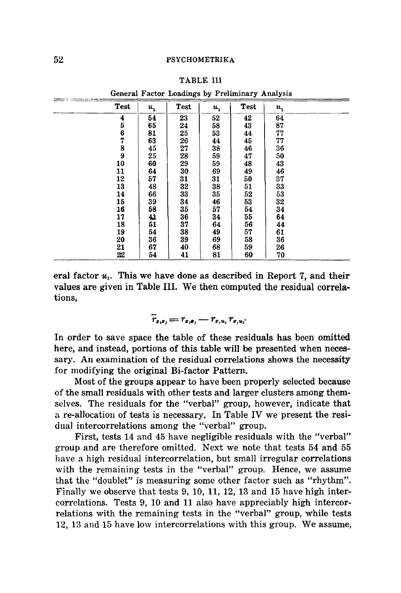|      |         |      |         | General Factor Loadings by Preliminary Analysis |         |  |
|------|---------|------|---------|-------------------------------------------------|---------|--|
| Test | $u_{1}$ | Test | $u_{1}$ | Test                                            | $u_{1}$ |  |
| 4    | 54      | 23   | 52      | 42                                              | 64      |  |
| 5    | 65      | 24   | 58      | 43                                              | 87      |  |
| 6    | 81      | 25   | 53      | 44                                              | 77      |  |
| 7    | 63      | 26   | 44      | 45                                              | 77      |  |
| 8    | 45      | 27   | 38      | 46                                              | 36      |  |
| 9    | 25      | 28   | 59      | 47                                              | 50      |  |
| 10   | 60      | 29   | 59      | 48                                              | 43      |  |
| 11   | 64      | 30   | 69      | 49                                              | 46      |  |
| 12   | 57      | 31   | 31      | 50                                              | 37      |  |
| 13   | 48      | 32   | 38      | 51                                              | 33      |  |
| 14   | 66      | 33   | 35      | 52                                              | 53      |  |
| 15   | 39      | 34   | 46      | 53                                              | 32      |  |
| 16   | 58      | 35   | 57      | 54                                              | 34      |  |
| 17   | 41      | 36   | 34      | 55                                              | 64      |  |
| 18   | 51      | 37   | 64      | 56                                              | 44      |  |
| 19   | 54      | 38   | 49      | 57                                              | 61      |  |
| 20   | 36      | 39   | 69      | 58                                              | 36      |  |
| 21   | 67      | 40   | 68      | 59                                              | 26      |  |
| 22   | 54      | 41   | 81      | 60                                              | 70      |  |

TABLE III

General Factor Loadings by Preliminary Analysis

eral factor  $u_1$ . This we have done as described in Report 7, and their values are given in Table III. We then computed the residual correlations,

$$
\overline{r}_{x_ix_j}=r_{x_i\mathbf{e}_j}-r_{x_iu_i}r_{x_iu_i}.
$$

In order to save space the table of these residuals has been omitted here, and instead, portions of this table will be presented when necessary. An examination of the residual correlations shows the necessity for modifying the original Bi-factor Pattern.

Most of the groups appear to have been properly selected because of the small residuals with other tests and larger clusters among themselves. The residuals for the "verbal" group, however, indicate that a re-allocation of tests is necessary. In Table IV we present the residual intercorrelations among the "verbal" group.

First, tests 14 and 45 have negligible residuals with the "verbal" group and are therefore omitted. Next we note that tests 54 and 55 have a high residual intercorrelation, but small irregular correlations with the remaining tests in the "verbal" group. Hence, we assume that the "doublet" is measuring some other factor such as "rhythm". Finally we observe that tests 9, 10, 11, 12, 13 and 15 have high intercorrelations. Tests 9, 10 and 11 also have appreciably high intercorrelations with the remaining tests in the "verbal" group, while tests 12, 13 and 15 have low intercorrelations with this group. We assume,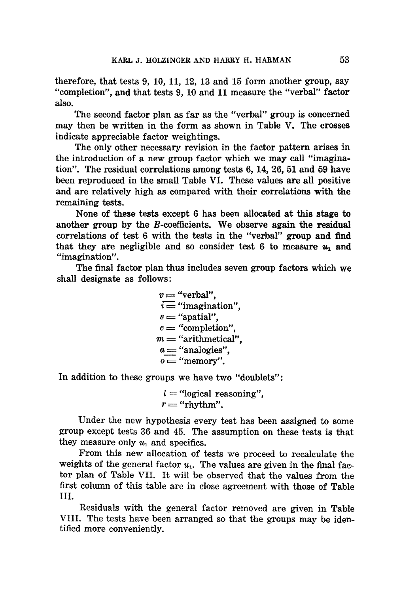therefore, that tests 9, 10, 11, 12, 13 and 15 form another group, say "completion", and that tests 9, 10 and 11 measure the "verbal" factor also.

The second factor plan as far as the "verbal" group is concerned may then be written in the form as shown in Table V. The crosses indicate appreciable factor weightings.

The only other necessary revision in the factor pattern arises in the introduction of a new group factor which we may call "imagination". The residual correlations among tests 6, 14, 26, 51 and 59 have been reproduced in the small Table VI. These values are all positive and are relatively high as compared with their correlations with the remaining tests.

None of these tests except 6 has been allocated at this stage to another group by the B-coefficients. We observe again the residual correlations of test 6 with the tests in the "verbal" group and find that they are negligible and so consider test 6 to measure  $u_1$  and "imagination".

The final factor plan thus includes seven group factors which we shall designate as follows:

> $v =$  "verbal".  $i =$  "imagination".  $s =$ "spatial",  $c =$  "completion".  $m =$  "arithmetical".  $a =$  "analogies",  $o = "memory".$

In addition to these groups we have two "doublets":

 $l =$  "logical reasoning".  $r =$  "rhythm".

Under the new hypothesis every test has been assigned to some group except tests 36 and 45. The assumption on these tests is that they measure only  $u_1$  and specifics.

From this new allocation of tests we proceed to recalculate the weights of the general factor  $u_1$ . The values are given in the final factor plan of Table VII. It will be observed that the values from the first column of this table are in close agreement with those of Table III.

Residuals with the general factor removed are given in Table VIII. The tests have been arranged so that the groups may be identified more conveniently.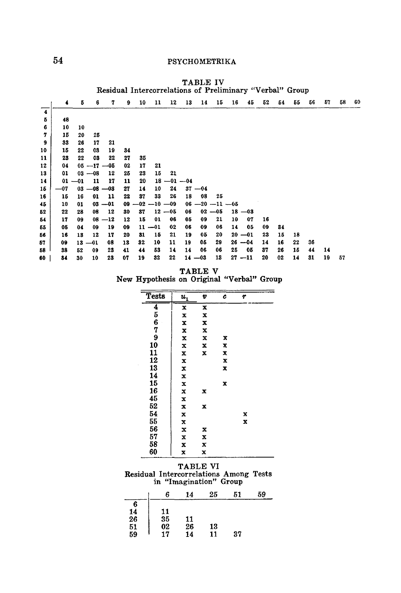|                         | Residual Intercorrelations of Preliminary "Verbal" Group |           |          |                |    |                     |           |                |    |           |                     |    |           |    |    |    |    |    |    |    |
|-------------------------|----------------------------------------------------------|-----------|----------|----------------|----|---------------------|-----------|----------------|----|-----------|---------------------|----|-----------|----|----|----|----|----|----|----|
|                         | $\ddot{\phantom{0}}$                                     | 5         | 6        | 7              | 9  | 10                  | 11        | 12             | 13 | 14        | 15                  | 16 | 45        | 52 | 54 | 55 | 56 | 57 | 58 | 60 |
| $\overline{\mathbf{4}}$ |                                                          |           |          |                |    |                     |           |                |    |           |                     |    |           |    |    |    |    |    |    |    |
| Б                       | 48                                                       |           |          |                |    |                     |           |                |    |           |                     |    |           |    |    |    |    |    |    |    |
| 6                       | 10                                                       | 10        |          |                |    |                     |           |                |    |           |                     |    |           |    |    |    |    |    |    |    |
| 7                       | 15                                                       | 20        | 25       |                |    |                     |           |                |    |           |                     |    |           |    |    |    |    |    |    |    |
| 9                       | 33                                                       | 26        | 17       | 21             |    |                     |           |                |    |           |                     |    |           |    |    |    |    |    |    |    |
| 10                      | 15                                                       | 22        | 03       | 19             | 34 |                     |           |                |    |           |                     |    |           |    |    |    |    |    |    |    |
| 11                      | 23                                                       | 22        | 08       | 22             | 27 | 35                  |           |                |    |           |                     |    |           |    |    |    |    |    |    |    |
| 12                      | 04                                                       |           |          | $05 - 17 - 05$ | 02 | 17                  | 21        |                |    |           |                     |    |           |    |    |    |    |    |    |    |
| 13                      | 01                                                       |           | $03 -08$ | 12             | 25 | 23                  | 15        | 21             |    |           |                     |    |           |    |    |    |    |    |    |    |
| 14                      |                                                          | $01 - 01$ | 11       | 17             | 11 | 20                  |           | $18 - 01 - 04$ |    |           |                     |    |           |    |    |    |    |    |    |    |
| 15                      | -07                                                      |           |          | $03 - 08 - 08$ | 27 | 14                  | 10        | 24             |    | $37 - 04$ |                     |    |           |    |    |    |    |    |    |    |
| 16                      | 15                                                       | 16        | 01       | 11             | 22 | 37                  | 33        | 26             | 18 | 08        | 25                  |    |           |    |    |    |    |    |    |    |
| 45                      | 10                                                       | 01        | 03       | $-01$          |    | $09 - 02 - 10 - 09$ |           |                |    |           | $06 - 20 - 11 - 65$ |    |           |    |    |    |    |    |    |    |
| 52                      | 22                                                       | 28        | 08       | 12             | 30 | 37                  |           | $12 - 05$      | 06 |           | $02 - 05$           |    | $18 - 03$ |    |    |    |    |    |    |    |
| 54                      | 17                                                       | 09        | 08       | $-12$          | 12 | 15                  | 01        | 06             | 05 | 09        | 21                  | 10 | 07        | 16 |    |    |    |    |    |    |
| 55                      | 05                                                       | 04        | 09       | 19             | 09 |                     | $11 - 01$ | 02             | 06 | 09        | 06                  | 14 | 05        | 09 | 34 |    |    |    |    |    |
| 56                      | 16                                                       | 13        | 12       | 17             | 20 | 81                  | 15        | 21             | 19 | 05        | 20                  |    | $20 - 01$ | 23 | 15 | 18 |    |    |    |    |
| 57                      | 09                                                       | 13        | $-01$    | 08             | 13 | 32                  | 10        | 11             | 19 | 05        | 29                  |    | $26 - 04$ | 14 | 16 | 22 | 36 |    |    |    |
| 58                      | 38                                                       | 52        | 09       | 23             | 41 | 44                  | 53        | 14             | 14 | 06        | 06                  | 25 | 05        | 37 | 26 | 15 | 44 | 14 |    |    |
| 60                      | 84                                                       | 30        | 10       | 23             | 07 | 19                  | 32        | 22             |    | $14 - 03$ | 13                  |    | $27 - 11$ | 20 | 02 | 14 | 31 | 19 | 57 |    |

TABLE IV Residual Intercorrelations of Preliminary ':Verbal" Group

TABLE V New Hypothesis on Original "Verbal" Group

| <b>Tests</b>   | $u_1$ | v | c | r |  |
|----------------|-------|---|---|---|--|
| $\overline{4}$ | x     | X |   |   |  |
| 5<br>6         | x     | x |   |   |  |
|                | x     | x |   |   |  |
| 7              | x     | x |   |   |  |
| 9              | x     | X | X |   |  |
| 10             | x     | x | x |   |  |
| 11             | X     | x | x |   |  |
| 12             | x     |   | x |   |  |
| ï<br>13        | X     |   | x |   |  |
| 14             | x     |   |   |   |  |
| 15             | x     |   | x |   |  |
| 16             | x     | X |   |   |  |
| 45             | x     |   |   |   |  |
| 52             | x     | x |   |   |  |
| 54             | x     |   |   | x |  |
| 55             | X     |   |   | x |  |
| 56             | x     | x |   |   |  |
| 57             | x     | x |   |   |  |
| 58             | x     | X |   |   |  |
| 60             | x     | x |   |   |  |

TABLE VI Residual Intercorrelations Among Tests in "Imagination" Group

|                                                          | 6                    | 14              | 25       | 51 | 59 |
|----------------------------------------------------------|----------------------|-----------------|----------|----|----|
|                                                          |                      |                 |          |    |    |
|                                                          |                      |                 |          |    |    |
|                                                          | 11<br>35<br>02<br>17 |                 |          |    |    |
|                                                          |                      |                 | 13<br>11 |    |    |
| $\begin{array}{c} 6 \\ 14 \\ 26 \\ 51 \\ 59 \end{array}$ |                      | $\frac{11}{26}$ |          | 37 |    |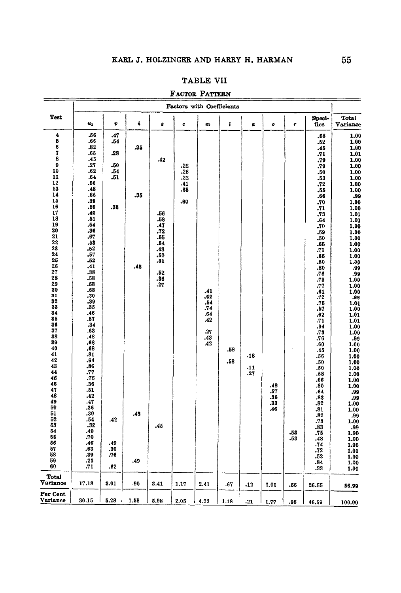## TABLE VII

|  | FACTOR PATTERN |
|--|----------------|
|--|----------------|

|                                                                                                                                                                                                                                                                                                                                                                                            | <b>Factors with Coefficients</b>                                                                                                                                                                                                                                                                                                                                                                             |                                                                                  |                                 |                                                                                                |                                        |                                                             |            |                   |                                 |            |                                                                                                                                                                                                                                                                                                                                                                                                                 |                                                                                                                                                                                                                                                                                                                                                                                                                                                             |
|--------------------------------------------------------------------------------------------------------------------------------------------------------------------------------------------------------------------------------------------------------------------------------------------------------------------------------------------------------------------------------------------|--------------------------------------------------------------------------------------------------------------------------------------------------------------------------------------------------------------------------------------------------------------------------------------------------------------------------------------------------------------------------------------------------------------|----------------------------------------------------------------------------------|---------------------------------|------------------------------------------------------------------------------------------------|----------------------------------------|-------------------------------------------------------------|------------|-------------------|---------------------------------|------------|-----------------------------------------------------------------------------------------------------------------------------------------------------------------------------------------------------------------------------------------------------------------------------------------------------------------------------------------------------------------------------------------------------------------|-------------------------------------------------------------------------------------------------------------------------------------------------------------------------------------------------------------------------------------------------------------------------------------------------------------------------------------------------------------------------------------------------------------------------------------------------------------|
| Test                                                                                                                                                                                                                                                                                                                                                                                       | 161                                                                                                                                                                                                                                                                                                                                                                                                          | v                                                                                | ÷                               | 8                                                                                              | c                                      | m                                                           | ı          | $\boldsymbol{a}$  | o                               | T          | Speci-<br>fics                                                                                                                                                                                                                                                                                                                                                                                                  | Total<br>Variance                                                                                                                                                                                                                                                                                                                                                                                                                                           |
| 4<br>5<br>6<br>$\boldsymbol{7}$<br>8<br>9<br>10<br>11<br>12<br>13<br>14<br>15<br>16<br>17<br>18<br>19<br>20<br>21<br>22<br>23<br>24<br>25<br>26<br>27<br>28<br>29<br>30<br>31<br>32<br>33<br>$\begin{array}{c} 34 \\ 85 \end{array}$<br>36<br>37<br>38<br>89<br>40<br>41<br>42<br>43<br>44<br>46<br>46<br>47<br>48<br>49<br>50<br>51<br>52<br>53<br>54<br>55<br>56<br>57<br>58<br>59<br>60 | .56<br>.66<br>.82<br>.65<br>.45<br>.27<br>.62<br>.64<br>.56<br>.48<br>.66<br>.39<br>.59<br>.40<br>.51<br>.54<br>.36<br>.67<br>.53<br>.52<br>.57<br>.52<br>.41<br>.38<br>.58<br>.58<br>.68<br>.30<br>.39<br>.35<br>.46<br>.57<br>.34<br>.63<br>.48<br>.68<br>.68<br>.81<br>.64<br>.86<br>.77<br>.75<br>.36<br>.51<br>.42<br>.47<br>.36<br>.30<br>.54<br>, 32<br>.40<br>.70<br>.46<br>.63<br>.39<br>.23<br>.71 | .47<br>.54<br>.28<br>.50<br>.54<br>.51<br>.38<br>.42<br>.49<br>.30<br>.76<br>.62 | .35<br>.35<br>.48<br>.48<br>.49 | .42<br>.56<br>.58<br>.47<br>.72<br>.55<br>.54<br>.48<br>.50<br>.81<br>.52<br>.36<br>.27<br>.45 | .22<br>.28<br>.22<br>.41<br>.68<br>.60 | .41<br>.62<br>.54<br>.74<br>.64<br>.42<br>.27<br>.43<br>.42 | .58<br>.58 | .18<br>.11<br>.27 | .48<br>.57<br>.36<br>.33<br>.46 | -53<br>.53 | .68<br>.52<br>.45<br>.71<br>.79<br>.79<br>.50<br>.53<br>.72<br>.55<br>.66<br>.70<br>.71<br>.73<br>.64<br>.70<br>.59<br>.50<br>.65<br>.71<br>.65<br>.80<br>.80<br>.76<br>.73<br>.77<br>.61<br>.72<br>$.75$<br>$.57$<br>.62<br>.71<br>.94<br>.73<br>.76<br>.60<br>.45<br>.56<br>.50<br>.50<br>.58<br>.66<br>.80<br>.64<br>.83<br>.82<br>.81<br>.82<br>.73<br>.83<br>.75<br>.48<br>.74<br>.72<br>.52<br>.84<br>.33 | 1.00<br>1.00<br>1.00<br>1.01<br>1.00<br>1.00<br>1.00<br>1.00<br>1.00<br>1.00<br>.99<br>1.00<br>1.00<br>1.01<br>1.01<br>1.00<br>1.00<br>1.00<br>1.00<br>1.00<br>1.00<br>1.00<br>.99<br>.99<br>1.00<br>1.00<br>1.00<br>.99<br>1.01<br>1.00<br>1.01<br>1.01<br>1.00<br>1.00<br>.99<br>1.00<br>1.00<br>1.00<br>1.00<br>1.00<br>1.00<br>1.00<br>1.00<br>.99<br>.99<br>1.00<br>1.00<br>.99<br>1.00<br>.99<br>1.00<br>1.00<br>1.00<br>1.01<br>1.00<br>1.00<br>1.00 |
| Total<br>Variance                                                                                                                                                                                                                                                                                                                                                                          | 17.18                                                                                                                                                                                                                                                                                                                                                                                                        | 3.01                                                                             | .90                             | 3.41                                                                                           | 1.17                                   | 2.41                                                        | .67        | .12               | 1.01                            | .56        | 26.55                                                                                                                                                                                                                                                                                                                                                                                                           | 56.99                                                                                                                                                                                                                                                                                                                                                                                                                                                       |
| Per Cent<br>Variance                                                                                                                                                                                                                                                                                                                                                                       | 30.15                                                                                                                                                                                                                                                                                                                                                                                                        | 5.28                                                                             | 1.58                            | 5.98                                                                                           | 2.05                                   | 4.23                                                        | 1.18       | .21               | 1.77                            | .98        | 46.59                                                                                                                                                                                                                                                                                                                                                                                                           | 100.00                                                                                                                                                                                                                                                                                                                                                                                                                                                      |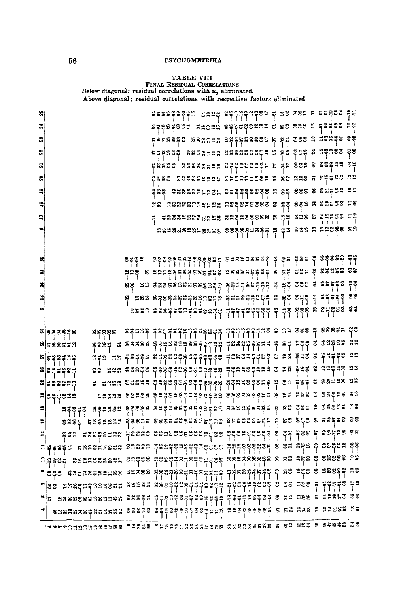# $\begin{minipage}{0.9\linewidth} \textbf{TABLE VIII} \end{minipage} \begin{minipage}{0.9\linewidth} \textbf{RBSIDUAL CORRELATIONS} \begin{minipage}{0.9\linewidth} \textbf{Below diagonal: residual correlations with $u_1$ eliminated.} \end{minipage} \begin{minipage}{0.9\linewidth} \textbf{Alsove diagonal: residual correlations with respective factors eliminated} \end{minipage} \vspace{0.1cm}$

|    |                                                                                      |  | ssse aggra sang sengangsu q sa sau s sspas qu                                                                                                                                                                                                                                                                       |                                                                                   |  |                    |  |        |
|----|--------------------------------------------------------------------------------------|--|---------------------------------------------------------------------------------------------------------------------------------------------------------------------------------------------------------------------------------------------------------------------------------------------------------------------|-----------------------------------------------------------------------------------|--|--------------------|--|--------|
| a  |                                                                                      |  | z prezesz znenn sztzzenen z es sas n pzzes np                                                                                                                                                                                                                                                                       |                                                                                   |  |                    |  |        |
| 2  |                                                                                      |  |                                                                                                                                                                                                                                                                                                                     |                                                                                   |  |                    |  |        |
| ສ  |                                                                                      |  |                                                                                                                                                                                                                                                                                                                     |                                                                                   |  |                    |  |        |
| ឆ  |                                                                                      |  |                                                                                                                                                                                                                                                                                                                     |                                                                                   |  |                    |  |        |
| ຂ  |                                                                                      |  | 종종총총 농호국왕고육역입당 종노종요요공동 <b>중요 또 총동 요곡종 전 부분</b> 료원총 총원<br>                                                                                                                                                                                                                                                           |                                                                                   |  |                    |  |        |
|    |                                                                                      |  | 종합동 - 후료볾유임유뉴얼동뉴 잉글폴콜홀볼홀홀홀 - 그 운동 송운동 총 총 <mark>취구</mark> 봉 - 그<br> -                                                                                                                                                                                                                                               |                                                                                   |  |                    |  |        |
|    |                                                                                      |  |                                                                                                                                                                                                                                                                                                                     |                                                                                   |  |                    |  |        |
| ።  |                                                                                      |  |                                                                                                                                                                                                                                                                                                                     |                                                                                   |  |                    |  |        |
|    |                                                                                      |  | <b>88488888585855 888885386 pp 83 838 8 858888888</b>                                                                                                                                                                                                                                                               |                                                                                   |  |                    |  |        |
|    |                                                                                      |  |                                                                                                                                                                                                                                                                                                                     |                                                                                   |  |                    |  |        |
| ន  |                                                                                      |  |                                                                                                                                                                                                                                                                                                                     |                                                                                   |  |                    |  |        |
| 畐  |                                                                                      |  |                                                                                                                                                                                                                                                                                                                     |                                                                                   |  |                    |  |        |
| ã  |                                                                                      |  |                                                                                                                                                                                                                                                                                                                     |                                                                                   |  |                    |  |        |
| ≍  |                                                                                      |  |                                                                                                                                                                                                                                                                                                                     |                                                                                   |  |                    |  | នីនី   |
| ¢  |                                                                                      |  | $\frac{1}{2}$ $\frac{1}{2}$ $\frac{1}{2}$ $\frac{1}{2}$ $\frac{1}{2}$ $\frac{1}{2}$ $\frac{1}{2}$ $\frac{1}{2}$ $\frac{1}{2}$ $\frac{1}{2}$ $\frac{1}{2}$ $\frac{1}{2}$ $\frac{1}{2}$ $\frac{1}{2}$ $\frac{1}{2}$ $\frac{1}{2}$ $\frac{1}{2}$ $\frac{1}{2}$ $\frac{1}{2}$ $\frac{1}{2}$ $\frac{1}{2}$ $\frac{1}{2}$ |                                                                                   |  |                    |  | కిర    |
|    |                                                                                      |  |                                                                                                                                                                                                                                                                                                                     |                                                                                   |  |                    |  |        |
|    | s s2s35s                                                                             |  |                                                                                                                                                                                                                                                                                                                     |                                                                                   |  |                    |  |        |
|    | <b>명</b> 남용용급급의<br>٣٥٣٩ × ٣٤٤٤٦ ٣٩٣٩<br>                                             |  | ระธุรุน<br>                                                                                                                                                                                                                                                                                                         | - 금융 중앙 중동 그 그 일 동물 등을 통 중 중 이 일 중요 중요<br>- 그 요즘 중요 중요 그 일 동물 등을 통 중요 중요 중요 중요 중요 |  |                    |  |        |
|    | ㅋㅋㅋ = = 주양귀유등 양구<br><b>゠゠゠゠゠゠゠゠゠゠゠゠゠゠゠゠゠゠゠゠゠゠</b>                                    |  | 음음음음음음을 구응보증코음을동을 등 요청 볼구중 줄 볼구들을을 읽는<br>                                                                                                                                                                                                                                                                           |                                                                                   |  |                    |  |        |
|    | 역 종구5종종급<br>                                                                         |  |                                                                                                                                                                                                                                                                                                                     |                                                                                   |  |                    |  |        |
|    | <b>등 - 음일·종일·동등음일</b><br>       <br><b>의로용</b> 로등                                    |  |                                                                                                                                                                                                                                                                                                                     |                                                                                   |  |                    |  |        |
|    | $\tilde{z}$    $\tilde{z}$    $\tilde{z}$                                            |  | ະສະຖິ<br>                                                                                                                                                                                                                                                                                                           | $8882888277827788888888288$                                                       |  |                    |  |        |
| н  | <b>끄</b> 룩별글로 '유물코유로의 특준통을을 조구근권을 들을 들을 구축으로 모르고 발음으로 한 호텔 호텔 등 등 등 등 등 등 등 등 등 등 있다 |  |                                                                                                                                                                                                                                                                                                                     |                                                                                   |  |                    |  |        |
| ≌∣ |                                                                                      |  |                                                                                                                                                                                                                                                                                                                     |                                                                                   |  |                    |  |        |
|    | esu uvadetas lesus astesaesendas asendadas a se esa e estus ed<br>L                  |  |                                                                                                                                                                                                                                                                                                                     |                                                                                   |  |                    |  |        |
|    |                                                                                      |  |                                                                                                                                                                                                                                                                                                                     |                                                                                   |  |                    |  |        |
|    |                                                                                      |  |                                                                                                                                                                                                                                                                                                                     |                                                                                   |  |                    |  |        |
|    | 883 N8538대83188 19388 일본지대원3대구주기관 기술동8후주특주일 일 83 9일 83 8세88일 18<br> -                |  |                                                                                                                                                                                                                                                                                                                     |                                                                                   |  |                    |  |        |
|    | <b>L</b> es urstuderasum surau asela                                                 |  |                                                                                                                                                                                                                                                                                                                     |                                                                                   |  |                    |  |        |
|    | "a saassassassa assessi nusansassassa                                                |  |                                                                                                                                                                                                                                                                                                                     |                                                                                   |  | 387 8 52 588 5 588 |  | ದತೆ ತಿ |
|    |                                                                                      |  |                                                                                                                                                                                                                                                                                                                     |                                                                                   |  |                    |  |        |
|    |                                                                                      |  |                                                                                                                                                                                                                                                                                                                     |                                                                                   |  |                    |  |        |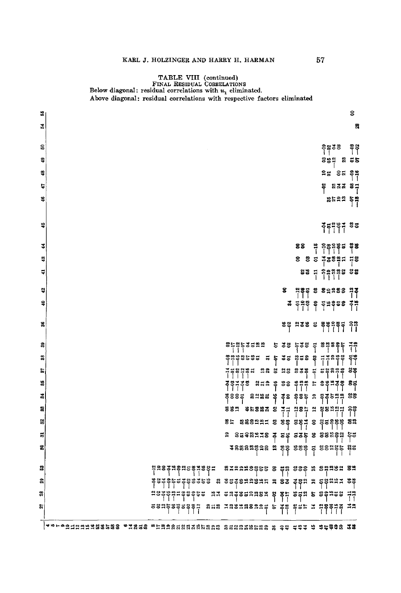# TABLE VIII (continued)

|          | FINAL RESIDUAL CORRELATIONS<br>Below diagonal: residual correlations with $u_1$ eliminated. |  |
|----------|---------------------------------------------------------------------------------------------|--|
|          | Above diagonal: residual correlations with respective factors eliminated                    |  |
| s        | g                                                                                           |  |
| ž,       | S.                                                                                          |  |
|          |                                                                                             |  |
| <u>ទ</u> | ခုဗ္ဗ ဒုဗ<br>  <br>နေ                                                                       |  |
| ន្       | ខីទីដូ ឌូ <b>ខន</b><br>ខេត្ត                                                                |  |
| å        | ಕಿದ ತಿಷ                                                                                     |  |
| 5        | ឌ <sup>ឌ ឌ ឌ</sup> ឌី =<br>                                                                 |  |
| ¥        | agaa sa                                                                                     |  |
|          |                                                                                             |  |
| ٩        |                                                                                             |  |
|          |                                                                                             |  |
| 3        | 88<br>֢֖֧֞֟֬֟֬֟֟֟֟֟֟֟֩֟֬֟׆֟ <sup>֟</sup> ֟֘֟֘֟֘֟֩֟׀֟֟֟֟֟֟֟׀֟֕֕֟֟֟֟֟֟֕֕׀֟֕<br>ဒိုဒီ          |  |
| 48       | 8877897778                                                                                  |  |
| ٣        | 8877998                                                                                     |  |
| ą        |                                                                                             |  |
| ş        | 8<br>- 음종 등 종 음음 등 음종<br>                                                                   |  |
|          | $\frac{3}{4}$ $\frac{28}{11}$ $\frac{8}{11}$ $\frac{29}{11}$ $\frac{28}{11}$                |  |
| g        | $58$ $133$ $5$ $5$ $83$ $78$ $7$ $1$ $1$ $1$                                                |  |
|          |                                                                                             |  |
| జి       | ŤŤ                                                                                          |  |
| 88       |                                                                                             |  |
| E        | 프로임 이 그리고 있는 것은 이 그리고 있습니다.<br>그리고 있는 것은 이 그리고 있습니다.<br>그리고 있습니다.                           |  |
| ä        | <b>822 \$ 88 \$52 £ \$822 \$</b><br>ទីទីកីទី <b>ខឺ</b><br>1111                              |  |
| వ        | 3885 8388 \$38 \$86 2 \$8638<br> -                                                          |  |
| g        |                                                                                             |  |
| X        |                                                                                             |  |
| 昜        |                                                                                             |  |
| ន        | 포유888명영음요 역 병병 봉명병 등 영웅역행동 원동                                                               |  |
|          |                                                                                             |  |
| 2        | 879998855 8 58 888 8 8888 89<br><u> ㅋㅋㅋㅋㅋㅋㅋㅋㅋㅋㅋㅋㅋ</u><br>┌──────────────────────            |  |
| និ       |                                                                                             |  |
| 33       | saassaasa s sa saa s seass da                                                               |  |
| ৯        | 858 188188215 2 3 8 8 5 1 1 2 3 3 4 5 1                                                     |  |

 $\boxed{\texttt{#}^{\texttt{m}}\texttt{+}^{\texttt{m}}\texttt{+}^{\texttt{m}}\texttt{+}^{\texttt{m}}\texttt{+}}^{\texttt{m}}\texttt{+}^{\texttt{m}}\texttt{+}}^{\texttt{m}}$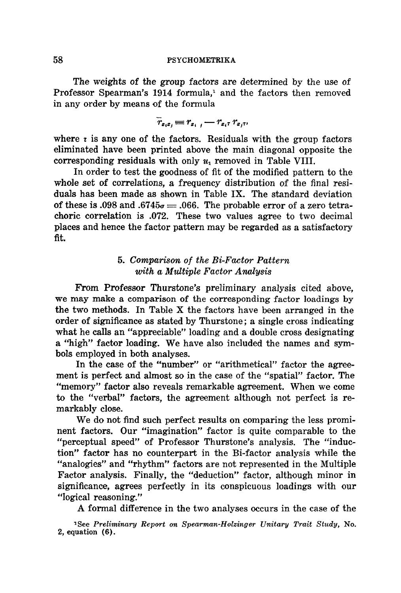The weights of the group factors are determined by the use of Professor Spearman's 1914 formula,<sup>1</sup> and the factors then removed in any order by means of the formula

$$
\overline{r}_{x_ix_i} \equiv r_{x_i} \cdot \overline{r}_{x_i} \cdot r_{x_i} \cdot r_{x_i}
$$

where  $\tau$  is any one of the factors. Residuals with the group factors eliminated have been printed above the main diagonal opposite the corresponding residuals with only  $u_1$  removed in Table VIII.

In order to test the goodness of fit of the modified pattern to the whole set of correlations, a frequency distribution of the final residuals has been made as shown in Table IX. The standard deviation of these is .098 and .6745 $\sigma = .066$ . The probable error of a zero tetrachoric correlation is .072. These two values agree to two decimal places and hence the factor pattern may be regarded as a satisfactory fit.

# *5. Comparison of the Bi-Factor Pattern with a Multiple Factor Analysis*

From Professor Thurstone's preliminary analysis cited above, we may make a comparison of the corresponding factor loadings by the two methods. In Table X the factors have been arranged in the order of significance as stated by Thurstone; a single cross indicating what he calls an "appreciable" loading and a double cross designating a "high" factor loading. We have also included the names and symbols employed in both analyses.

In the case of the "number" or "arithmetical" factor the agreement is perfect and almost so in the case of the "spatial" factor. The "memory" factor also reveals remarkable agreement. When we come to the "verbal" factors, the agreement although not perfect is remarkably close.

We do not find such perfect results on comparing the less prominent factors. Our "imagination" factor is quite comparable to the "perceptual speed" of Professor Thurstone's analysis. The "induction" factor has no counterpart in the Bi-factor analysis while the "analogies" and "rhythm" factors are not represented in the Multiple Factor analysis. Finally, the "deduction" factor, although minor in significance, agrees perfectly in its conspicuous loadings with our "logical reasoning."

A formal difference in the two analyses occurs in the case of the

<sup>1</sup>See Preliminary Report on Spearman-Holzinger Unitary Trait Study, No. 2, equation (6).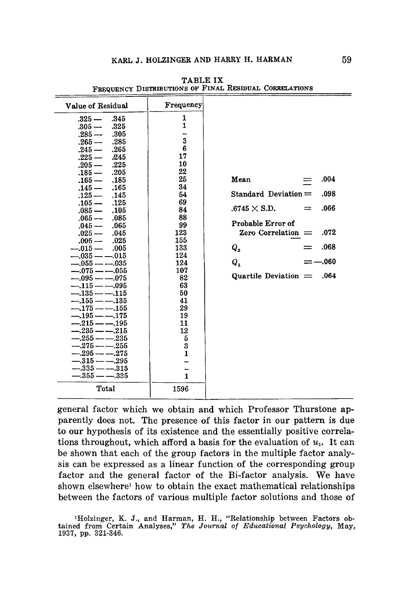| Value of Residual                   | Frequency    |                                    |
|-------------------------------------|--------------|------------------------------------|
| $.325 -$<br>.345                    | 1            |                                    |
| .325<br>$.305 -$                    | 1            |                                    |
| $.285 -$<br>.305                    | --           |                                    |
| $.265 -$<br>.285                    | 3            |                                    |
| $.245 -$<br>.265                    | 6            |                                    |
| $.225 -$<br>-245                    | 17           |                                    |
| $.205 -$<br>.225                    | 10           |                                    |
| $.185 -$<br>.205                    | 22           |                                    |
| .185<br>$.165-$                     | 25           | .004<br>Mean                       |
| $.145 -$<br>.165                    | 34           |                                    |
| .145<br>$.125-$                     | 54           | Standard Deviation $=$<br>.098     |
| $.105 -$<br>.125                    | 69           |                                    |
| $.085 -$<br>.105                    | 84           | $.6745 \times S.D.$<br>.066<br>$=$ |
| $.065 -$<br>.085                    | 88           | Probable Error of                  |
| $.045 -$<br>.065                    | 99           |                                    |
| $.025 -$<br>.045                    | 123          | Zero Correlation $=$<br>.072       |
| $.005 -$<br>.025                    | 155          | .068                               |
| $-.015-$<br>.005                    | 133          | $Q_{\rm a}$                        |
| $-.035 \rightarrow -.015$           | 124          | = —.060                            |
| $-.055 \longrightarrow .035$        | 124          | $Q_{1}$                            |
| $-.075$ --055<br>$-.095$ -- $-.075$ | 107<br>82    | Quartile Deviation $=$<br>.064     |
| $-.115 \rightarrow .095$            | 63           |                                    |
| $-135 - -115$                       | 50           |                                    |
| $-.155--.135$                       | 41           |                                    |
| $-.175 \rightarrow -.155$           | 29           |                                    |
| $-.195 - .175$                      | 19           |                                    |
| $-.215 \longrightarrow .195$        | 11           |                                    |
| $-.235 \longrightarrow .215$        | 12           |                                    |
| $-.255 \longrightarrow .235$        | 5            |                                    |
| $-275 - -255$                       | 3            |                                    |
| $-.295 \longrightarrow .275$        | $\mathbf{1}$ |                                    |
| $-.315 \longleftarrow .295$         |              |                                    |
| $-.335 \,\mathrm{---}.315$          |              |                                    |
| $-.355$ ------335                   | $\mathbf{1}$ |                                    |
| Total                               | 1596         |                                    |

TABLE IX FREQUENCY DISTRIBUTIONS OF FINAL RESIDUAL CORRELATIONS

general factor which we obtain and which Professor Thurstone apparently does not. The presence of this factor in our pattern is due to our hypothesis of its existence and the essentially positive correlations throughout, which afford a basis for the evaluation of  $u_1$ . It can be shown that each of the group factors in the multiple factor analysis can be expressed as a linear function of the corresponding group factor and the general factor of the Bi-factor analysis. We have shown elsewhere<sup>1</sup> how to obtain the exact mathematical relationships between the factors of various multiple factor solutions and those of

1Holzinger, K. J., and Harman, H. H., "Relationship between Factors obtained from Certain Analyses," *The Journal of Educational Psychology,* May, 1937, pp. 321-346.